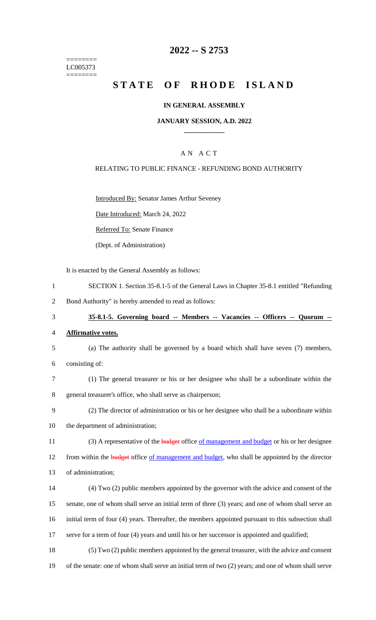======== LC005373 ========

## **2022 -- S 2753**

## **STATE OF RHODE ISLAND**

### **IN GENERAL ASSEMBLY**

### **JANUARY SESSION, A.D. 2022 \_\_\_\_\_\_\_\_\_\_\_\_**

## A N A C T

### RELATING TO PUBLIC FINANCE - REFUNDING BOND AUTHORITY

Introduced By: Senator James Arthur Seveney

Date Introduced: March 24, 2022

Referred To: Senate Finance

(Dept. of Administration)

It is enacted by the General Assembly as follows:

- 1 SECTION 1. Section 35-8.1-5 of the General Laws in Chapter 35-8.1 entitled "Refunding
- 2 Bond Authority" is hereby amended to read as follows:
- 3 **35-8.1-5. Governing board -- Members -- Vacancies -- Officers -- Quorum --**
- 4 **Affirmative votes.**
- 5 (a) The authority shall be governed by a board which shall have seven (7) members, 6 consisting of:
- 7 (1) The general treasurer or his or her designee who shall be a subordinate within the 8 general treasurer's office, who shall serve as chairperson;
- 9 (2) The director of administration or his or her designee who shall be a subordinate within 10 the department of administration;
- 11 (3) A representative of the **budget** office <u>of management and budget</u> or his or her designee

12 from within the **budget** office of management and budget, who shall be appointed by the director

- 13 of administration;
- 14 (4) Two (2) public members appointed by the governor with the advice and consent of the 15 senate, one of whom shall serve an initial term of three (3) years; and one of whom shall serve an 16 initial term of four (4) years. Thereafter, the members appointed pursuant to this subsection shall 17 serve for a term of four (4) years and until his or her successor is appointed and qualified;
- 18 (5) Two (2) public members appointed by the general treasurer, with the advice and consent 19 of the senate: one of whom shall serve an initial term of two (2) years; and one of whom shall serve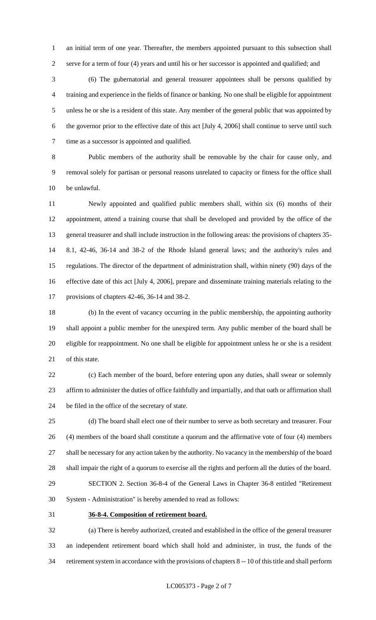an initial term of one year. Thereafter, the members appointed pursuant to this subsection shall serve for a term of four (4) years and until his or her successor is appointed and qualified; and

 (6) The gubernatorial and general treasurer appointees shall be persons qualified by training and experience in the fields of finance or banking. No one shall be eligible for appointment unless he or she is a resident of this state. Any member of the general public that was appointed by the governor prior to the effective date of this act [July 4, 2006] shall continue to serve until such time as a successor is appointed and qualified.

 Public members of the authority shall be removable by the chair for cause only, and removal solely for partisan or personal reasons unrelated to capacity or fitness for the office shall be unlawful.

 Newly appointed and qualified public members shall, within six (6) months of their appointment, attend a training course that shall be developed and provided by the office of the general treasurer and shall include instruction in the following areas: the provisions of chapters 35- 8.1, 42-46, 36-14 and 38-2 of the Rhode Island general laws; and the authority's rules and regulations. The director of the department of administration shall, within ninety (90) days of the effective date of this act [July 4, 2006], prepare and disseminate training materials relating to the provisions of chapters 42-46, 36-14 and 38-2.

 (b) In the event of vacancy occurring in the public membership, the appointing authority shall appoint a public member for the unexpired term. Any public member of the board shall be eligible for reappointment. No one shall be eligible for appointment unless he or she is a resident of this state.

 (c) Each member of the board, before entering upon any duties, shall swear or solemnly affirm to administer the duties of office faithfully and impartially, and that oath or affirmation shall be filed in the office of the secretary of state.

 (d) The board shall elect one of their number to serve as both secretary and treasurer. Four (4) members of the board shall constitute a quorum and the affirmative vote of four (4) members shall be necessary for any action taken by the authority. No vacancy in the membership of the board shall impair the right of a quorum to exercise all the rights and perform all the duties of the board. SECTION 2. Section 36-8-4 of the General Laws in Chapter 36-8 entitled "Retirement

System - Administration" is hereby amended to read as follows:

## **36-8-4. Composition of retirement board.**

 (a) There is hereby authorized, created and established in the office of the general treasurer an independent retirement board which shall hold and administer, in trust, the funds of the retirement system in accordance with the provisions of chapters 8 -- 10 of this title and shall perform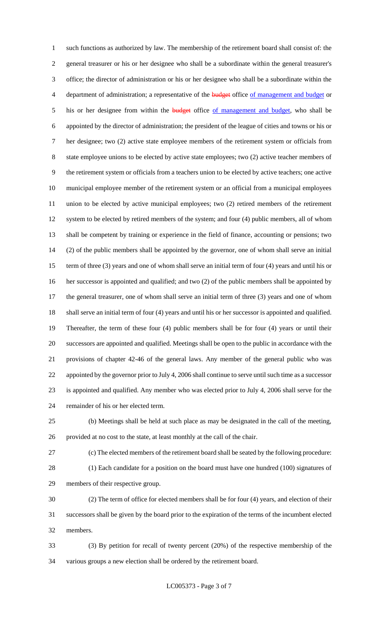such functions as authorized by law. The membership of the retirement board shall consist of: the general treasurer or his or her designee who shall be a subordinate within the general treasurer's office; the director of administration or his or her designee who shall be a subordinate within the 4 department of administration; a representative of the budget office of management and budget or 5 his or her designee from within the **budget** office of management and budget, who shall be appointed by the director of administration; the president of the league of cities and towns or his or her designee; two (2) active state employee members of the retirement system or officials from state employee unions to be elected by active state employees; two (2) active teacher members of the retirement system or officials from a teachers union to be elected by active teachers; one active municipal employee member of the retirement system or an official from a municipal employees union to be elected by active municipal employees; two (2) retired members of the retirement 12 system to be elected by retired members of the system; and four (4) public members, all of whom shall be competent by training or experience in the field of finance, accounting or pensions; two (2) of the public members shall be appointed by the governor, one of whom shall serve an initial term of three (3) years and one of whom shall serve an initial term of four (4) years and until his or her successor is appointed and qualified; and two (2) of the public members shall be appointed by the general treasurer, one of whom shall serve an initial term of three (3) years and one of whom shall serve an initial term of four (4) years and until his or her successor is appointed and qualified. Thereafter, the term of these four (4) public members shall be for four (4) years or until their successors are appointed and qualified. Meetings shall be open to the public in accordance with the provisions of chapter 42-46 of the general laws. Any member of the general public who was appointed by the governor prior to July 4, 2006 shall continue to serve until such time as a successor is appointed and qualified. Any member who was elected prior to July 4, 2006 shall serve for the remainder of his or her elected term.

 (b) Meetings shall be held at such place as may be designated in the call of the meeting, provided at no cost to the state, at least monthly at the call of the chair.

 (c) The elected members of the retirement board shall be seated by the following procedure: (1) Each candidate for a position on the board must have one hundred (100) signatures of members of their respective group.

 (2) The term of office for elected members shall be for four (4) years, and election of their successors shall be given by the board prior to the expiration of the terms of the incumbent elected members.

 (3) By petition for recall of twenty percent (20%) of the respective membership of the various groups a new election shall be ordered by the retirement board.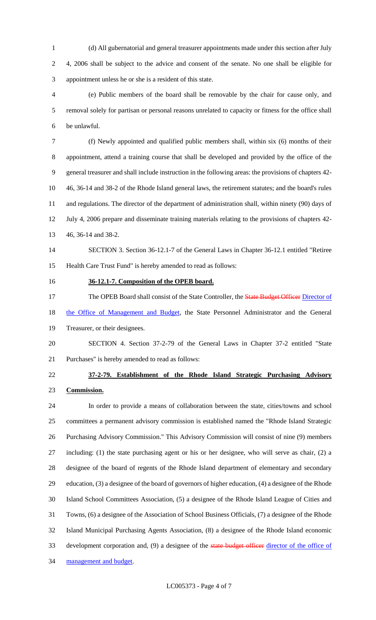(d) All gubernatorial and general treasurer appointments made under this section after July 4, 2006 shall be subject to the advice and consent of the senate. No one shall be eligible for appointment unless he or she is a resident of this state.

 (e) Public members of the board shall be removable by the chair for cause only, and removal solely for partisan or personal reasons unrelated to capacity or fitness for the office shall be unlawful.

 (f) Newly appointed and qualified public members shall, within six (6) months of their appointment, attend a training course that shall be developed and provided by the office of the general treasurer and shall include instruction in the following areas: the provisions of chapters 42- 46, 36-14 and 38-2 of the Rhode Island general laws, the retirement statutes; and the board's rules and regulations. The director of the department of administration shall, within ninety (90) days of July 4, 2006 prepare and disseminate training materials relating to the provisions of chapters 42- 46, 36-14 and 38-2.

# SECTION 3. Section 36-12.1-7 of the General Laws in Chapter 36-12.1 entitled "Retiree Health Care Trust Fund" is hereby amended to read as follows:

### **36-12.1-7. Composition of the OPEB board.**

17 The OPEB Board shall consist of the State Controller, the **State Budget Officer Director of** 

18 the Office of Management and Budget, the State Personnel Administrator and the General

- Treasurer, or their designees.
- SECTION 4. Section 37-2-79 of the General Laws in Chapter 37-2 entitled "State Purchases" is hereby amended to read as follows:
- 

# **37-2-79. Establishment of the Rhode Island Strategic Purchasing Advisory Commission.**

 In order to provide a means of collaboration between the state, cities/towns and school committees a permanent advisory commission is established named the "Rhode Island Strategic Purchasing Advisory Commission." This Advisory Commission will consist of nine (9) members including: (1) the state purchasing agent or his or her designee, who will serve as chair, (2) a designee of the board of regents of the Rhode Island department of elementary and secondary education, (3) a designee of the board of governors of higher education, (4) a designee of the Rhode Island School Committees Association, (5) a designee of the Rhode Island League of Cities and Towns, (6) a designee of the Association of School Business Officials, (7) a designee of the Rhode Island Municipal Purchasing Agents Association, (8) a designee of the Rhode Island economic 33 development corporation and, (9) a designee of the state budget officer director of the office of 34 management and budget.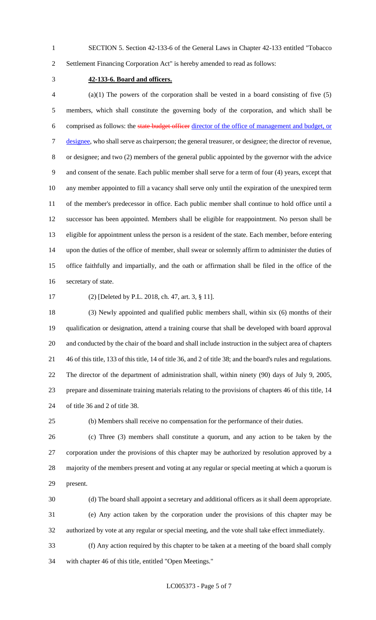SECTION 5. Section 42-133-6 of the General Laws in Chapter 42-133 entitled "Tobacco

Settlement Financing Corporation Act" is hereby amended to read as follows:

## **42-133-6. Board and officers.**

 (a)(1) The powers of the corporation shall be vested in a board consisting of five (5) members, which shall constitute the governing body of the corporation, and which shall be comprised as follows: the state budget officer director of the office of management and budget, or designee, who shall serve as chairperson; the general treasurer, or designee; the director of revenue, or designee; and two (2) members of the general public appointed by the governor with the advice and consent of the senate. Each public member shall serve for a term of four (4) years, except that any member appointed to fill a vacancy shall serve only until the expiration of the unexpired term of the member's predecessor in office. Each public member shall continue to hold office until a successor has been appointed. Members shall be eligible for reappointment. No person shall be eligible for appointment unless the person is a resident of the state. Each member, before entering upon the duties of the office of member, shall swear or solemnly affirm to administer the duties of office faithfully and impartially, and the oath or affirmation shall be filed in the office of the secretary of state.

(2) [Deleted by P.L. 2018, ch. 47, art. 3, § 11].

 (3) Newly appointed and qualified public members shall, within six (6) months of their qualification or designation, attend a training course that shall be developed with board approval and conducted by the chair of the board and shall include instruction in the subject area of chapters 46 of this title, 133 of this title, 14 of title 36, and 2 of title 38; and the board's rules and regulations. The director of the department of administration shall, within ninety (90) days of July 9, 2005, prepare and disseminate training materials relating to the provisions of chapters 46 of this title, 14 of title 36 and 2 of title 38.

(b) Members shall receive no compensation for the performance of their duties.

 (c) Three (3) members shall constitute a quorum, and any action to be taken by the corporation under the provisions of this chapter may be authorized by resolution approved by a majority of the members present and voting at any regular or special meeting at which a quorum is present.

(d) The board shall appoint a secretary and additional officers as it shall deem appropriate.

 (e) Any action taken by the corporation under the provisions of this chapter may be authorized by vote at any regular or special meeting, and the vote shall take effect immediately.

 (f) Any action required by this chapter to be taken at a meeting of the board shall comply with chapter 46 of this title, entitled "Open Meetings."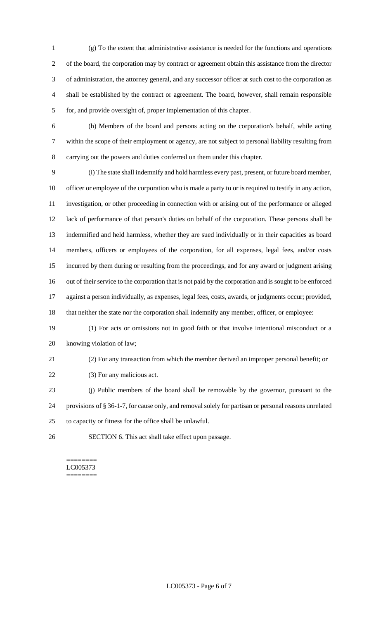(g) To the extent that administrative assistance is needed for the functions and operations of the board, the corporation may by contract or agreement obtain this assistance from the director of administration, the attorney general, and any successor officer at such cost to the corporation as shall be established by the contract or agreement. The board, however, shall remain responsible for, and provide oversight of, proper implementation of this chapter.

 (h) Members of the board and persons acting on the corporation's behalf, while acting within the scope of their employment or agency, are not subject to personal liability resulting from carrying out the powers and duties conferred on them under this chapter.

 (i) The state shall indemnify and hold harmless every past, present, or future board member, officer or employee of the corporation who is made a party to or is required to testify in any action, investigation, or other proceeding in connection with or arising out of the performance or alleged lack of performance of that person's duties on behalf of the corporation. These persons shall be indemnified and held harmless, whether they are sued individually or in their capacities as board members, officers or employees of the corporation, for all expenses, legal fees, and/or costs incurred by them during or resulting from the proceedings, and for any award or judgment arising out of their service to the corporation that is not paid by the corporation and is sought to be enforced against a person individually, as expenses, legal fees, costs, awards, or judgments occur; provided, that neither the state nor the corporation shall indemnify any member, officer, or employee:

 (1) For acts or omissions not in good faith or that involve intentional misconduct or a knowing violation of law;

(2) For any transaction from which the member derived an improper personal benefit; or

22 (3) For any malicious act.

 (j) Public members of the board shall be removable by the governor, pursuant to the provisions of § 36-1-7, for cause only, and removal solely for partisan or personal reasons unrelated to capacity or fitness for the office shall be unlawful.

SECTION 6. This act shall take effect upon passage.

#### ======== LC005373 ========